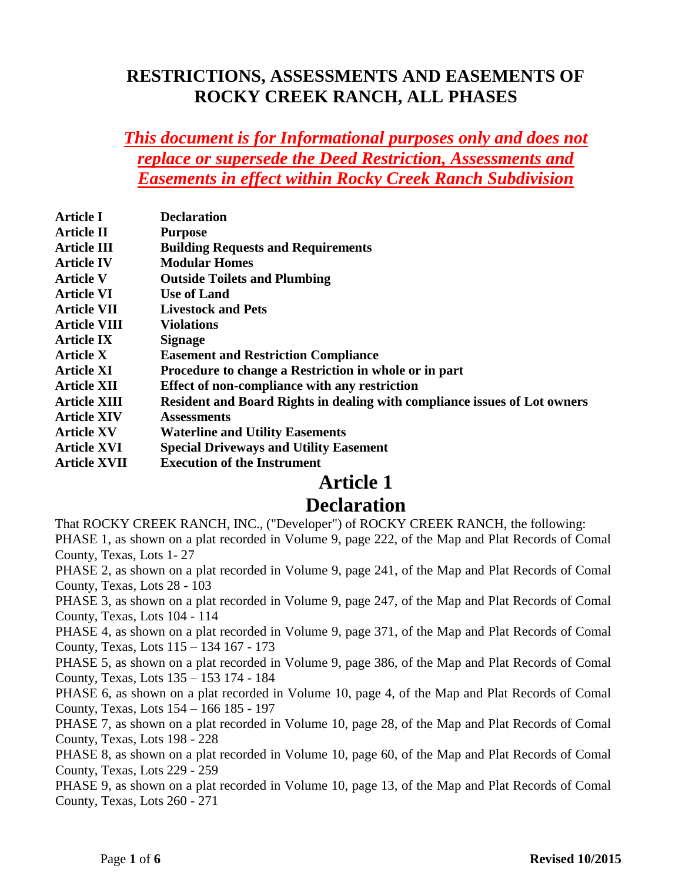#### **RESTRICTIONS, ASSESSMENTS AND EASEMENTS OF ROCKY CREEK RANCH, ALL PHASES**

#### *This document is for Informational purposes only and does not replace or supersede the Deed Restriction, Assessments and Easements in effect within Rocky Creek Ranch Subdivision*

| <b>Article I</b>    | <b>Declaration</b>                                                        |
|---------------------|---------------------------------------------------------------------------|
| <b>Article II</b>   | <b>Purpose</b>                                                            |
| <b>Article III</b>  | <b>Building Requests and Requirements</b>                                 |
| <b>Article IV</b>   | <b>Modular Homes</b>                                                      |
| <b>Article V</b>    | <b>Outside Toilets and Plumbing</b>                                       |
| <b>Article VI</b>   | <b>Use of Land</b>                                                        |
| <b>Article VII</b>  | <b>Livestock and Pets</b>                                                 |
| <b>Article VIII</b> | <b>Violations</b>                                                         |
| <b>Article IX</b>   | <b>Signage</b>                                                            |
| <b>Article X</b>    | <b>Easement and Restriction Compliance</b>                                |
| <b>Article XI</b>   | Procedure to change a Restriction in whole or in part                     |
| <b>Article XII</b>  | Effect of non-compliance with any restriction                             |
| <b>Article XIII</b> | Resident and Board Rights in dealing with compliance issues of Lot owners |
| <b>Article XIV</b>  | <b>Assessments</b>                                                        |
| <b>Article XV</b>   | <b>Waterline and Utility Easements</b>                                    |
| <b>Article XVI</b>  | <b>Special Driveways and Utility Easement</b>                             |
| <b>Article XVII</b> | <b>Execution of the Instrument</b>                                        |

#### **Article 1**

#### **Declaration**

That ROCKY CREEK RANCH, INC., ("Developer") of ROCKY CREEK RANCH, the following:

PHASE 1, as shown on a plat recorded in Volume 9, page 222, of the Map and Plat Records of Comal County, Texas, Lots 1- 27

PHASE 2, as shown on a plat recorded in Volume 9, page 241, of the Map and Plat Records of Comal County, Texas, Lots 28 - 103

PHASE 3, as shown on a plat recorded in Volume 9, page 247, of the Map and Plat Records of Comal County, Texas, Lots 104 - 114

PHASE 4, as shown on a plat recorded in Volume 9, page 371, of the Map and Plat Records of Comal County, Texas, Lots 115 – 134 167 - 173

PHASE 5, as shown on a plat recorded in Volume 9, page 386, of the Map and Plat Records of Comal County, Texas, Lots 135 – 153 174 - 184

PHASE 6, as shown on a plat recorded in Volume 10, page 4, of the Map and Plat Records of Comal County, Texas, Lots 154 – 166 185 - 197

PHASE 7, as shown on a plat recorded in Volume 10, page 28, of the Map and Plat Records of Comal County, Texas, Lots 198 - 228

PHASE 8, as shown on a plat recorded in Volume 10, page 60, of the Map and Plat Records of Comal County, Texas, Lots 229 - 259

PHASE 9, as shown on a plat recorded in Volume 10, page 13, of the Map and Plat Records of Comal County, Texas, Lots 260 - 271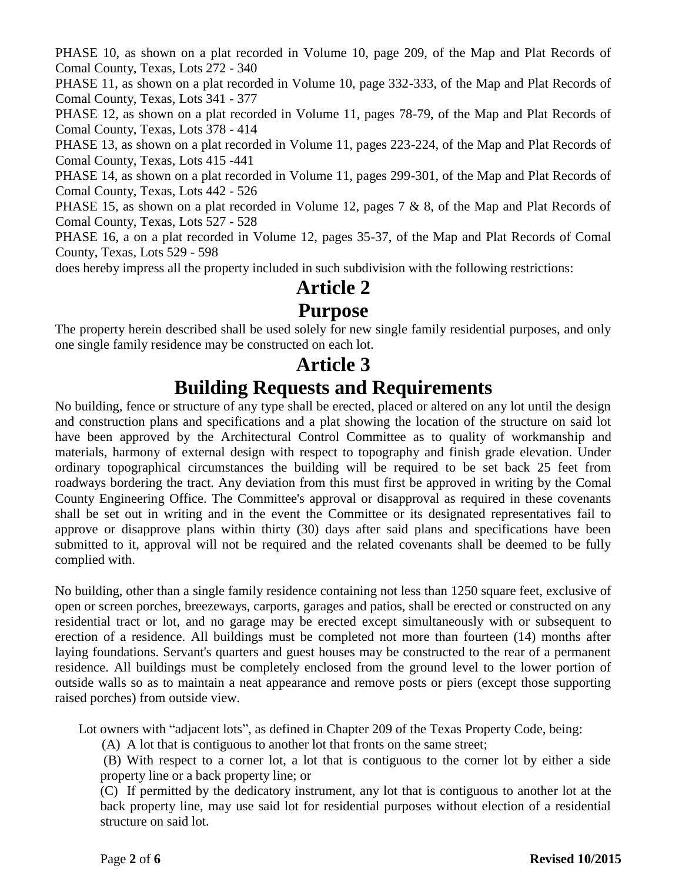PHASE 10, as shown on a plat recorded in Volume 10, page 209, of the Map and Plat Records of Comal County, Texas, Lots 272 - 340

PHASE 11, as shown on a plat recorded in Volume 10, page 332-333, of the Map and Plat Records of Comal County, Texas, Lots 341 - 377

PHASE 12, as shown on a plat recorded in Volume 11, pages 78-79, of the Map and Plat Records of Comal County, Texas, Lots 378 - 414

PHASE 13, as shown on a plat recorded in Volume 11, pages 223-224, of the Map and Plat Records of Comal County, Texas, Lots 415 -441

PHASE 14, as shown on a plat recorded in Volume 11, pages 299-301, of the Map and Plat Records of Comal County, Texas, Lots 442 - 526

PHASE 15, as shown on a plat recorded in Volume 12, pages 7 & 8, of the Map and Plat Records of Comal County, Texas, Lots 527 - 528

PHASE 16, a on a plat recorded in Volume 12, pages 35-37, of the Map and Plat Records of Comal County, Texas, Lots 529 - 598

does hereby impress all the property included in such subdivision with the following restrictions:

## **Article 2**

#### **Purpose**

The property herein described shall be used solely for new single family residential purposes, and only one single family residence may be constructed on each lot.

### **Article 3 Building Requests and Requirements**

No building, fence or structure of any type shall be erected, placed or altered on any lot until the design and construction plans and specifications and a plat showing the location of the structure on said lot have been approved by the Architectural Control Committee as to quality of workmanship and materials, harmony of external design with respect to topography and finish grade elevation. Under ordinary topographical circumstances the building will be required to be set back 25 feet from roadways bordering the tract. Any deviation from this must first be approved in writing by the Comal County Engineering Office. The Committee's approval or disapproval as required in these covenants shall be set out in writing and in the event the Committee or its designated representatives fail to approve or disapprove plans within thirty (30) days after said plans and specifications have been submitted to it, approval will not be required and the related covenants shall be deemed to be fully complied with.

No building, other than a single family residence containing not less than 1250 square feet, exclusive of open or screen porches, breezeways, carports, garages and patios, shall be erected or constructed on any residential tract or lot, and no garage may be erected except simultaneously with or subsequent to erection of a residence. All buildings must be completed not more than fourteen (14) months after laying foundations. Servant's quarters and guest houses may be constructed to the rear of a permanent residence. All buildings must be completely enclosed from the ground level to the lower portion of outside walls so as to maintain a neat appearance and remove posts or piers (except those supporting raised porches) from outside view.

Lot owners with "adjacent lots", as defined in Chapter 209 of the Texas Property Code, being:

(A) A lot that is contiguous to another lot that fronts on the same street;

(B) With respect to a corner lot, a lot that is contiguous to the corner lot by either a side property line or a back property line; or

(C) If permitted by the dedicatory instrument, any lot that is contiguous to another lot at the back property line, may use said lot for residential purposes without election of a residential structure on said lot.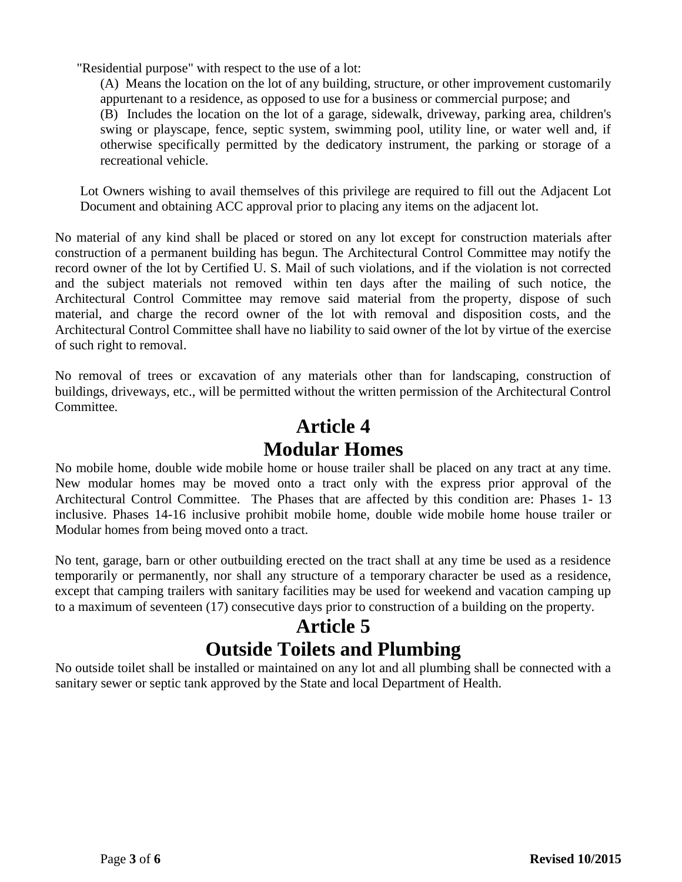"Residential purpose" with respect to the use of a lot:

(A) Means the location on the lot of any building, structure, or other improvement customarily appurtenant to a residence, as opposed to use for a business or commercial purpose; and (B) Includes the location on the lot of a garage, sidewalk, driveway, parking area, children's swing or playscape, fence, septic system, swimming pool, utility line, or water well and, if otherwise specifically permitted by the dedicatory instrument, the parking or storage of a recreational vehicle.

Lot Owners wishing to avail themselves of this privilege are required to fill out the Adjacent Lot Document and obtaining ACC approval prior to placing any items on the adjacent lot.

No material of any kind shall be placed or stored on any lot except for construction materials after construction of a permanent building has begun. The Architectural Control Committee may notify the record owner of the lot by Certified U. S. Mail of such violations, and if the violation is not corrected and the subject materials not removed within ten days after the mailing of such notice, the Architectural Control Committee may remove said material from the property, dispose of such material, and charge the record owner of the lot with removal and disposition costs, and the Architectural Control Committee shall have no liability to said owner of the lot by virtue of the exercise of such right to removal.

No removal of trees or excavation of any materials other than for landscaping, construction of buildings, driveways, etc., will be permitted without the written permission of the Architectural Control Committee.

## **Article 4 Modular Homes**

No mobile home, double wide mobile home or house trailer shall be placed on any tract at any time. New modular homes may be moved onto a tract only with the express prior approval of the Architectural Control Committee. The Phases that are affected by this condition are: Phases 1- 13 inclusive. Phases 14-16 inclusive prohibit mobile home, double wide mobile home house trailer or Modular homes from being moved onto a tract.

No tent, garage, barn or other outbuilding erected on the tract shall at any time be used as a residence temporarily or permanently, nor shall any structure of a temporary character be used as a residence, except that camping trailers with sanitary facilities may be used for weekend and vacation camping up to a maximum of seventeen (17) consecutive days prior to construction of a building on the property.

## **Article 5 Outside Toilets and Plumbing**

No outside toilet shall be installed or maintained on any lot and all plumbing shall be connected with a sanitary sewer or septic tank approved by the State and local Department of Health.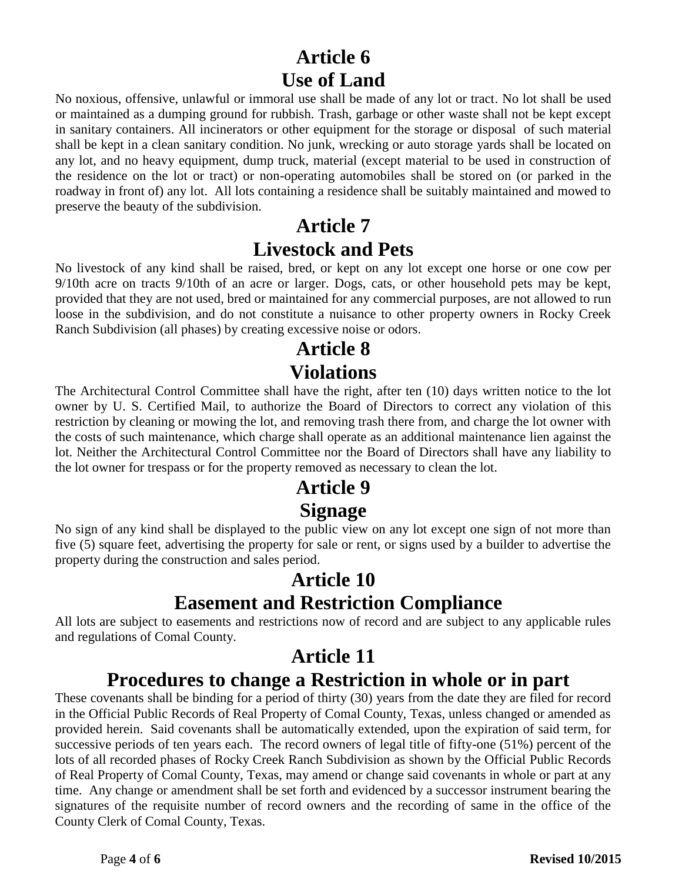## **Article 6 Use of Land**

No noxious, offensive, unlawful or immoral use shall be made of any lot or tract. No lot shall be used or maintained as a dumping ground for rubbish. Trash, garbage or other waste shall not be kept except in sanitary containers. All incinerators or other equipment for the storage or disposal of such material shall be kept in a clean sanitary condition. No junk, wrecking or auto storage yards shall be located on any lot, and no heavy equipment, dump truck, material (except material to be used in construction of the residence on the lot or tract) or non-operating automobiles shall be stored on (or parked in the roadway in front of) any lot. All lots containing a residence shall be suitably maintained and mowed to preserve the beauty of the subdivision.

## **Article 7 Livestock and Pets**

No livestock of any kind shall be raised, bred, or kept on any lot except one horse or one cow per 9/10th acre on tracts 9/10th of an acre or larger. Dogs, cats, or other household pets may be kept, provided that they are not used, bred or maintained for any commercial purposes, are not allowed to run loose in the subdivision, and do not constitute a nuisance to other property owners in Rocky Creek Ranch Subdivision (all phases) by creating excessive noise or odors.

# **Article 8 Violations**

The Architectural Control Committee shall have the right, after ten (10) days written notice to the lot owner by U. S. Certified Mail, to authorize the Board of Directors to correct any violation of this restriction by cleaning or mowing the lot, and removing trash there from, and charge the lot owner with the costs of such maintenance, which charge shall operate as an additional maintenance lien against the lot. Neither the Architectural Control Committee nor the Board of Directors shall have any liability to the lot owner for trespass or for the property removed as necessary to clean the lot.

## **Article 9 Signage**

No sign of any kind shall be displayed to the public view on any lot except one sign of not more than five (5) square feet, advertising the property for sale or rent, or signs used by a builder to advertise the property during the construction and sales period.

## **Article 10 Easement and Restriction Compliance**

All lots are subject to easements and restrictions now of record and are subject to any applicable rules and regulations of Comal County.

#### **Article 11 Procedures to change a Restriction in whole or in part**

These covenants shall be binding for a period of thirty (30) years from the date they are filed for record in the Official Public Records of Real Property of Comal County, Texas, unless changed or amended as provided herein. Said covenants shall be automatically extended, upon the expiration of said term, for successive periods of ten years each. The record owners of legal title of fifty-one (51%) percent of the lots of all recorded phases of Rocky Creek Ranch Subdivision as shown by the Official Public Records of Real Property of Comal County, Texas, may amend or change said covenants in whole or part at any time. Any change or amendment shall be set forth and evidenced by a successor instrument bearing the signatures of the requisite number of record owners and the recording of same in the office of the County Clerk of Comal County, Texas.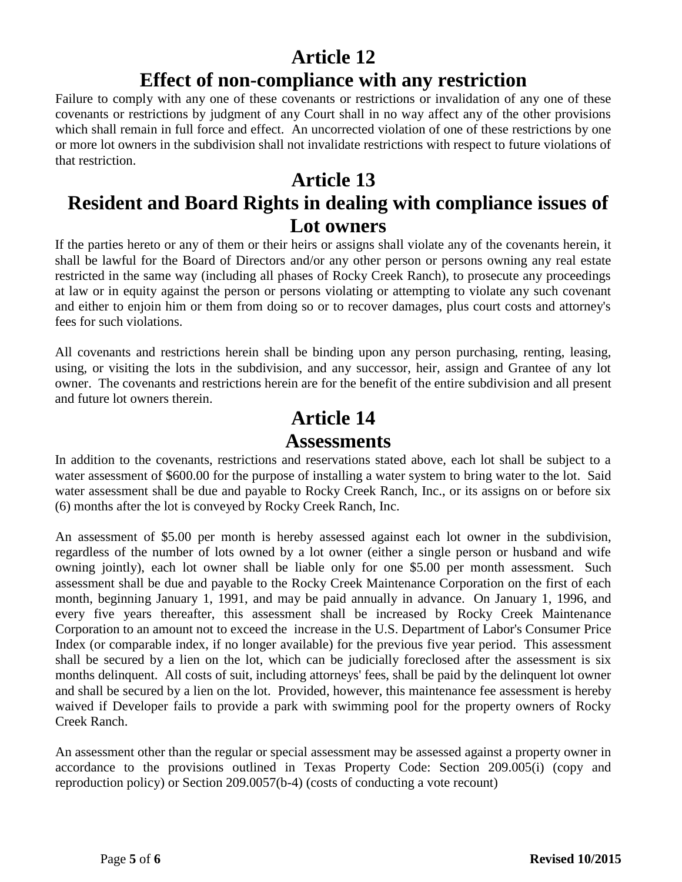## **Article 12**

#### **Effect of non-compliance with any restriction**

Failure to comply with any one of these covenants or restrictions or invalidation of any one of these covenants or restrictions by judgment of any Court shall in no way affect any of the other provisions which shall remain in full force and effect. An uncorrected violation of one of these restrictions by one or more lot owners in the subdivision shall not invalidate restrictions with respect to future violations of that restriction.

## **Article 13**

# **Resident and Board Rights in dealing with compliance issues of Lot owners**

If the parties hereto or any of them or their heirs or assigns shall violate any of the covenants herein, it shall be lawful for the Board of Directors and/or any other person or persons owning any real estate restricted in the same way (including all phases of Rocky Creek Ranch), to prosecute any proceedings at law or in equity against the person or persons violating or attempting to violate any such covenant and either to enjoin him or them from doing so or to recover damages, plus court costs and attorney's fees for such violations.

All covenants and restrictions herein shall be binding upon any person purchasing, renting, leasing, using, or visiting the lots in the subdivision, and any successor, heir, assign and Grantee of any lot owner. The covenants and restrictions herein are for the benefit of the entire subdivision and all present and future lot owners therein.

# **Article 14**

#### **Assessments**

In addition to the covenants, restrictions and reservations stated above, each lot shall be subject to a water assessment of \$600.00 for the purpose of installing a water system to bring water to the lot. Said water assessment shall be due and payable to Rocky Creek Ranch, Inc., or its assigns on or before six (6) months after the lot is conveyed by Rocky Creek Ranch, Inc.

An assessment of \$5.00 per month is hereby assessed against each lot owner in the subdivision, regardless of the number of lots owned by a lot owner (either a single person or husband and wife owning jointly), each lot owner shall be liable only for one \$5.00 per month assessment. Such assessment shall be due and payable to the Rocky Creek Maintenance Corporation on the first of each month, beginning January 1, 1991, and may be paid annually in advance. On January 1, 1996, and every five years thereafter, this assessment shall be increased by Rocky Creek Maintenance Corporation to an amount not to exceed the increase in the U.S. Department of Labor's Consumer Price Index (or comparable index, if no longer available) for the previous five year period. This assessment shall be secured by a lien on the lot, which can be judicially foreclosed after the assessment is six months delinquent. All costs of suit, including attorneys' fees, shall be paid by the delinquent lot owner and shall be secured by a lien on the lot. Provided, however, this maintenance fee assessment is hereby waived if Developer fails to provide a park with swimming pool for the property owners of Rocky Creek Ranch.

An assessment other than the regular or special assessment may be assessed against a property owner in accordance to the provisions outlined in Texas Property Code: Section 209.005(i) (copy and reproduction policy) or Section 209.0057(b-4) (costs of conducting a vote recount)